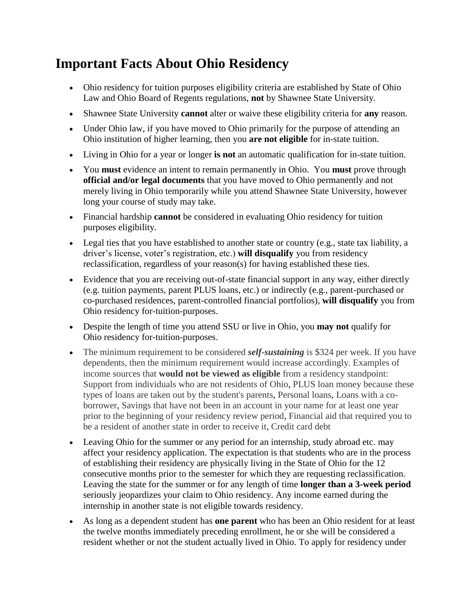## **Important Facts About Ohio Residency**

- Ohio residency for tuition purposes eligibility criteria are established by State of Ohio Law and Ohio Board of Regents regulations, **not** by Shawnee State University.
- Shawnee State University **cannot** alter or waive these eligibility criteria for **any** reason.
- Under Ohio law, if you have moved to Ohio primarily for the purpose of attending an Ohio institution of higher learning, then you **are not eligible** for in-state tuition.
- Living in Ohio for a year or longer **is not** an automatic qualification for in-state tuition.
- You **must** evidence an intent to remain permanently in Ohio. You **must** prove through **official and/or legal documents** that you have moved to Ohio permanently and not merely living in Ohio temporarily while you attend Shawnee State University, however long your course of study may take.
- Financial hardship **cannot** be considered in evaluating Ohio residency for tuition purposes eligibility.
- Legal ties that you have established to another state or country (e.g., state tax liability, a driver's license, voter's registration, etc.) **will disqualify** you from residency reclassification, regardless of your reason(s) for having established these ties.
- Evidence that you are receiving out-of-state financial support in any way, either directly (e.g. tuition payments, parent PLUS loans, etc.) or indirectly (e.g., parent-purchased or co-purchased residences, parent-controlled financial portfolios), **will disqualify** you from Ohio residency for-tuition-purposes.
- Despite the length of time you attend SSU or live in Ohio, you **may not** qualify for Ohio residency for-tuition-purposes.
- The minimum requirement to be considered *self-sustaining* is \$324 per week. If you have dependents, then the minimum requirement would increase accordingly. Examples of income sources that **would not be viewed as eligible** from a residency standpoint: Support from individuals who are not residents of Ohio, PLUS loan money because these types of loans are taken out by the student's parents, Personal loans, Loans with a coborrower, Savings that have not been in an account in your name for at least one year prior to the beginning of your residency review period, Financial aid that required you to be a resident of another state in order to receive it, Credit card debt
- Leaving Ohio for the summer or any period for an internship, study abroad etc. may affect your residency application. The expectation is that students who are in the process of establishing their residency are physically living in the State of Ohio for the 12 consecutive months prior to the semester for which they are requesting reclassification. Leaving the state for the summer or for any length of time **longer than a 3-week period** seriously jeopardizes your claim to Ohio residency. Any income earned during the internship in another state is not eligible towards residency.
- As long as a dependent student has **one parent** who has been an Ohio resident for at least the twelve months immediately preceding enrollment, he or she will be considered a resident whether or not the student actually lived in Ohio. To apply for residency under